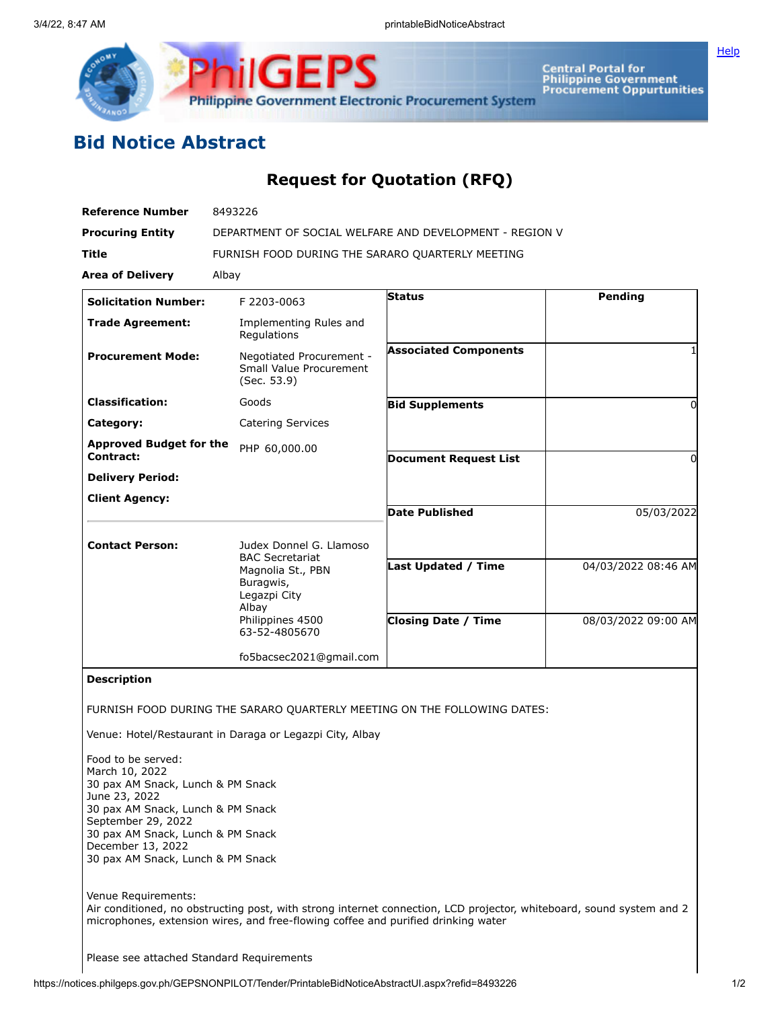

## **Bid Notice Abstract**

## **Request for Quotation (RFQ)**

| <b>Reference Number</b>                                                                                                                                                                                                                              | 8493226                                                                                      |                                                   |                                            |
|------------------------------------------------------------------------------------------------------------------------------------------------------------------------------------------------------------------------------------------------------|----------------------------------------------------------------------------------------------|---------------------------------------------------|--------------------------------------------|
| <b>Procuring Entity</b>                                                                                                                                                                                                                              | DEPARTMENT OF SOCIAL WELFARE AND DEVELOPMENT - REGION V                                      |                                                   |                                            |
| <b>Title</b>                                                                                                                                                                                                                                         | FURNISH FOOD DURING THE SARARO QUARTERLY MEETING                                             |                                                   |                                            |
| <b>Area of Delivery</b>                                                                                                                                                                                                                              | Albay                                                                                        |                                                   |                                            |
| <b>Solicitation Number:</b>                                                                                                                                                                                                                          | F 2203-0063                                                                                  | <b>Status</b>                                     | Pending                                    |
| <b>Trade Agreement:</b>                                                                                                                                                                                                                              | Implementing Rules and<br>Regulations                                                        |                                                   |                                            |
| <b>Procurement Mode:</b>                                                                                                                                                                                                                             | Negotiated Procurement -<br>Small Value Procurement<br>(Sec. 53.9)                           | <b>Associated Components</b>                      |                                            |
| <b>Classification:</b>                                                                                                                                                                                                                               | Goods                                                                                        | <b>Bid Supplements</b>                            | 0                                          |
| Category:                                                                                                                                                                                                                                            | <b>Catering Services</b>                                                                     |                                                   |                                            |
| <b>Approved Budget for the</b>                                                                                                                                                                                                                       | PHP 60,000.00                                                                                |                                                   |                                            |
| Contract:                                                                                                                                                                                                                                            |                                                                                              | <b>Document Request List</b>                      | $\Omega$                                   |
| <b>Delivery Period:</b>                                                                                                                                                                                                                              |                                                                                              |                                                   |                                            |
| <b>Client Agency:</b>                                                                                                                                                                                                                                |                                                                                              | <b>Date Published</b>                             | 05/03/2022                                 |
|                                                                                                                                                                                                                                                      |                                                                                              |                                                   |                                            |
| <b>Contact Person:</b>                                                                                                                                                                                                                               | Judex Donnel G. Llamoso<br><b>BAC Secretariat</b>                                            |                                                   |                                            |
|                                                                                                                                                                                                                                                      | Magnolia St., PBN<br>Buragwis,<br>Legazpi City<br>Albay<br>Philippines 4500<br>63-52-4805670 | Last Updated / Time<br><b>Closing Date / Time</b> | 04/03/2022 08:46 AM<br>08/03/2022 09:00 AM |
|                                                                                                                                                                                                                                                      | fo5bacsec2021@gmail.com                                                                      |                                                   |                                            |
| <b>Description</b>                                                                                                                                                                                                                                   |                                                                                              |                                                   |                                            |
| FURNISH FOOD DURING THE SARARO QUARTERLY MEETING ON THE FOLLOWING DATES:                                                                                                                                                                             |                                                                                              |                                                   |                                            |
| Venue: Hotel/Restaurant in Daraga or Legazpi City, Albay                                                                                                                                                                                             |                                                                                              |                                                   |                                            |
| Food to be served:<br>March 10, 2022<br>30 pax AM Snack, Lunch & PM Snack<br>June 23, 2022<br>30 pax AM Snack, Lunch & PM Snack<br>September 29, 2022<br>30 pax AM Snack, Lunch & PM Snack<br>December 13, 2022<br>30 pax AM Snack, Lunch & PM Snack |                                                                                              |                                                   |                                            |
| Venue Requirements:<br>Air conditioned, no obstructing post, with strong internet connection, LCD projector, whiteboard, sound system and 2<br>microphones, extension wires, and free-flowing coffee and purified drinking water                     |                                                                                              |                                                   |                                            |